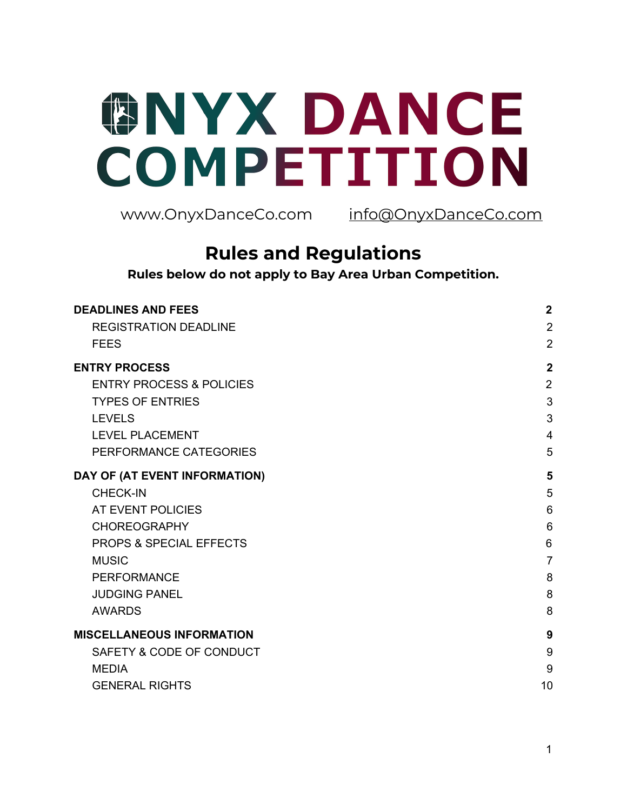# **GNYX DANCE** COMPETITION

www.OnyxDanceCo.com info@OnyxDanceCo.com

# **Rules and Regulations**

**Rules below do not apply to Bay Area Urban Competition.**

| <b>DEADLINES AND FEES</b>           | $\overline{2}$ |
|-------------------------------------|----------------|
| <b>REGISTRATION DEADLINE</b>        | $\overline{2}$ |
| <b>FEES</b>                         | $\overline{2}$ |
| <b>ENTRY PROCESS</b>                | $\overline{2}$ |
| <b>ENTRY PROCESS &amp; POLICIES</b> | $\overline{2}$ |
| <b>TYPES OF ENTRIES</b>             | 3              |
| <b>LEVELS</b>                       | 3              |
| <b>LEVEL PLACEMENT</b>              | $\overline{4}$ |
| PERFORMANCE CATEGORIES              | 5              |
| DAY OF (AT EVENT INFORMATION)       | 5              |
| <b>CHECK-IN</b>                     | 5              |
| AT EVENT POLICIES                   | 6              |
| <b>CHOREOGRAPHY</b>                 | 6              |
| <b>PROPS &amp; SPECIAL EFFECTS</b>  | 6              |
| <b>MUSIC</b>                        | $\overline{7}$ |
| <b>PERFORMANCE</b>                  | 8              |
| <b>JUDGING PANEL</b>                | 8              |
| <b>AWARDS</b>                       | 8              |
| <b>MISCELLANEOUS INFORMATION</b>    | 9              |
| SAFETY & CODE OF CONDUCT            | 9              |
| <b>MEDIA</b>                        | 9              |
| <b>GENERAL RIGHTS</b>               | 10             |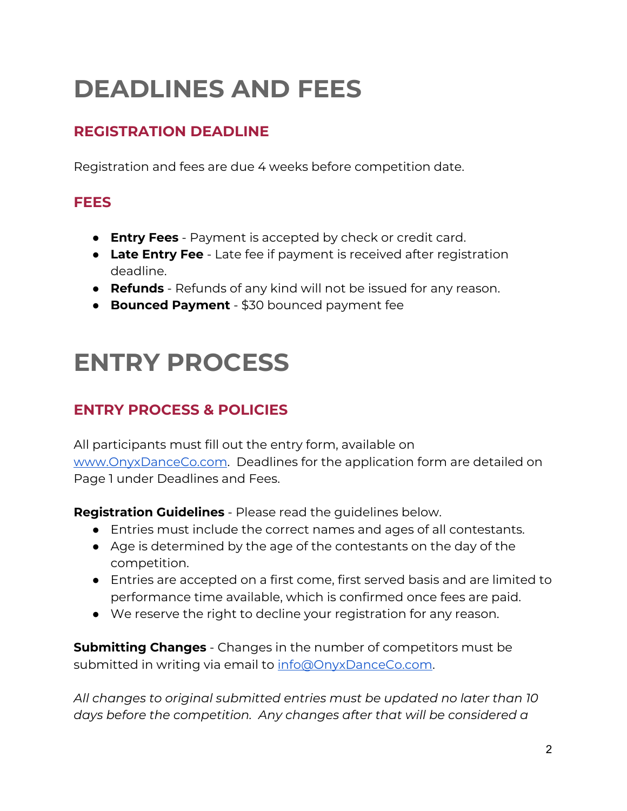# <span id="page-1-0"></span>**DEADLINES AND FEES**

# <span id="page-1-1"></span>**REGISTRATION DEADLINE**

Registration and fees are due 4 weeks before competition date.

# <span id="page-1-2"></span>**FEES**

- **Entry Fees** Payment is accepted by check or credit card.
- **Late Entry Fee** Late fee if payment is received after registration deadline.
- **Refunds** Refunds of any kind will not be issued for any reason.
- **Bounced Payment** \$30 bounced payment fee

# <span id="page-1-3"></span>**ENTRY PROCESS**

# <span id="page-1-4"></span>**ENTRY PROCESS & POLICIES**

All participants must fill out the entry form, available on [www.OnyxDanceCo.com](http://www.onyxdanceco.com/). Deadlines for the application form are detailed on Page 1 under Deadlines and Fees.

**Registration Guidelines** - Please read the guidelines below.

- Entries must include the correct names and ages of all contestants.
- Age is determined by the age of the contestants on the day of the competition.
- Entries are accepted on a first come, first served basis and are limited to performance time available, which is confirmed once fees are paid.
- We reserve the right to decline your registration for any reason.

**Submitting Changes** - Changes in the number of competitors must be submitted in writing via email to [info@OnyxDanceCo.com](mailto:info@OnyxDanceCo.com).

*All changes to original submitted entries must be updated no later than 10 days before the competition. Any changes after that will be considered a*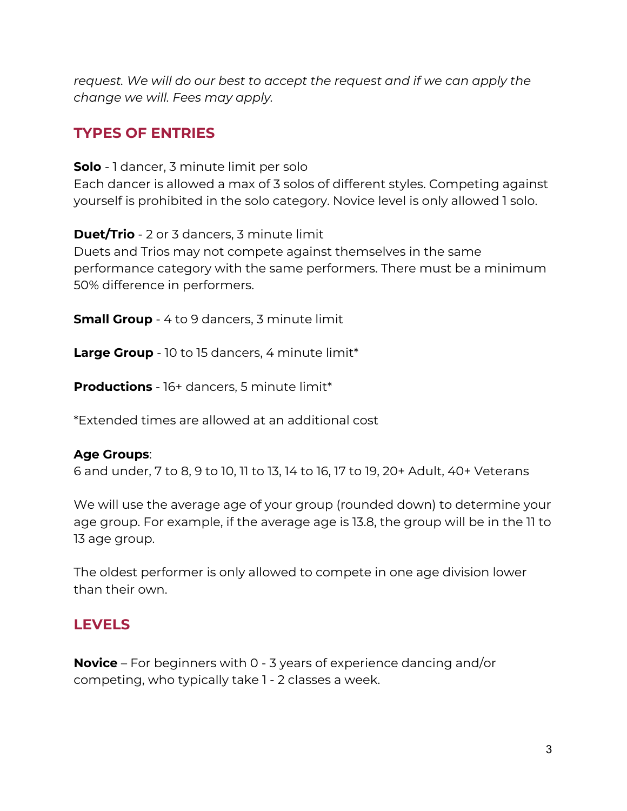*request. We will do our best to accept the request and if we can apply the change we will. Fees may apply.*

# <span id="page-2-0"></span>**TYPES OF ENTRIES**

**Solo** - 1 dancer, 3 minute limit per solo

Each dancer is allowed a max of 3 solos of different styles. Competing against yourself is prohibited in the solo category. Novice level is only allowed 1 solo.

**Duet/Trio** - 2 or 3 dancers, 3 minute limit

Duets and Trios may not compete against themselves in the same performance category with the same performers. There must be a minimum 50% difference in performers.

**Small Group** - 4 to 9 dancers, 3 minute limit

**Large Group** - 10 to 15 dancers, 4 minute limit\*

**Productions** - 16+ dancers, 5 minute limit\*

\*Extended times are allowed at an additional cost

#### **Age Groups**:

6 and under, 7 to 8, 9 to 10, 11 to 13, 14 to 16, 17 to 19, 20+ Adult, 40+ Veterans

We will use the average age of your group (rounded down) to determine your age group. For example, if the average age is 13.8, the group will be in the 11 to 13 age group.

The oldest performer is only allowed to compete in one age division lower than their own.

### <span id="page-2-1"></span>**LEVELS**

**Novice** – For beginners with 0 - 3 years of experience dancing and/or competing, who typically take 1 - 2 classes a week.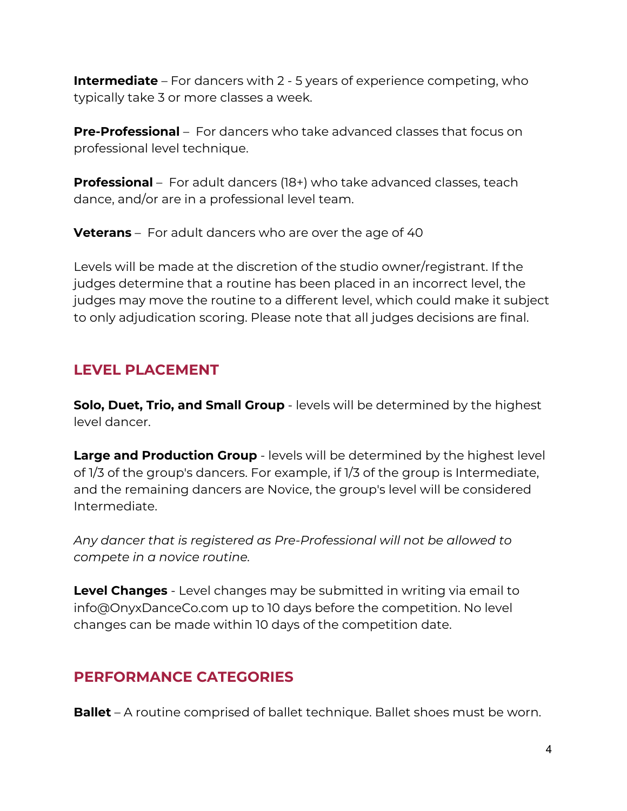**Intermediate** – For dancers with 2 - 5 years of experience competing, who typically take 3 or more classes a week.

**Pre-Professional** – For dancers who take advanced classes that focus on professional level technique.

**Professional** – For adult dancers (18+) who take advanced classes, teach dance, and/or are in a professional level team.

**Veterans** – For adult dancers who are over the age of 40

Levels will be made at the discretion of the studio owner/registrant. If the judges determine that a routine has been placed in an incorrect level, the judges may move the routine to a different level, which could make it subject to only adjudication scoring. Please note that all judges decisions are final.

# <span id="page-3-0"></span>**LEVEL PLACEMENT**

**Solo, Duet, Trio, and Small Group** - levels will be determined by the highest level dancer.

**Large and Production Group** - levels will be determined by the highest level of 1/3 of the group's dancers. For example, if 1/3 of the group is Intermediate, and the remaining dancers are Novice, the group's level will be considered Intermediate.

*Any dancer that is registered as Pre-Professional will not be allowed to compete in a novice routine.*

**Level Changes** - Level changes may be submitted in writing via email to info@OnyxDanceCo.com up to 10 days before the competition. No level changes can be made within 10 days of the competition date.

# <span id="page-3-1"></span>**PERFORMANCE CATEGORIES**

**Ballet** – A routine comprised of ballet technique. Ballet shoes must be worn.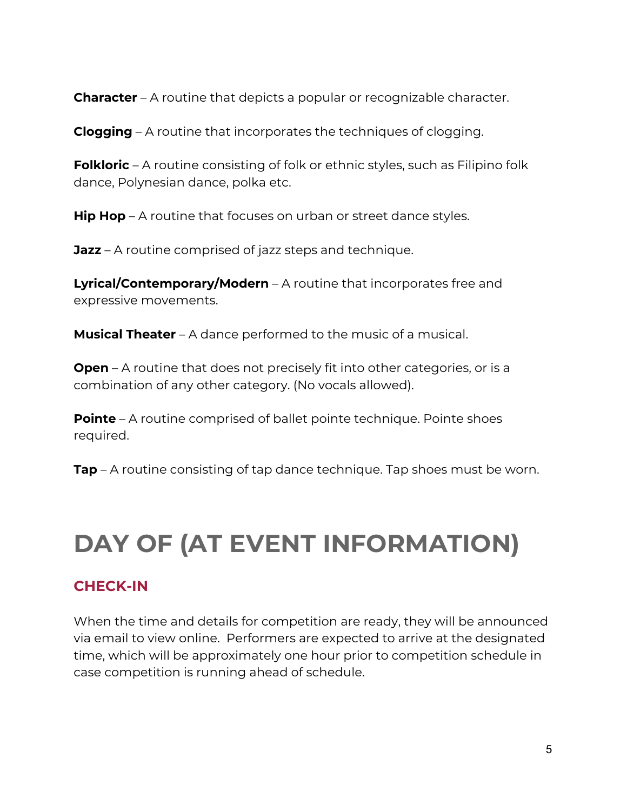**Character** – A routine that depicts a popular or recognizable character.

**Clogging** – A routine that incorporates the techniques of clogging.

**Folkloric** – A routine consisting of folk or ethnic styles, such as Filipino folk dance, Polynesian dance, polka etc.

**Hip Hop** – A routine that focuses on urban or street dance styles.

**Jazz** – A routine comprised of jazz steps and technique.

**Lyrical/Contemporary/Modern** – A routine that incorporates free and expressive movements.

**Musical Theater** – A dance performed to the music of a musical.

**Open** – A routine that does not precisely fit into other categories, or is a combination of any other category. (No vocals allowed).

**Pointe** – A routine comprised of ballet pointe technique. Pointe shoes required.

**Tap** – A routine consisting of tap dance technique. Tap shoes must be worn.

# <span id="page-4-0"></span>**DAY OF (AT EVENT INFORMATION)**

# <span id="page-4-1"></span>**CHECK-IN**

When the time and details for competition are ready, they will be announced via email to view online. Performers are expected to arrive at the designated time, which will be approximately one hour prior to competition schedule in case competition is running ahead of schedule.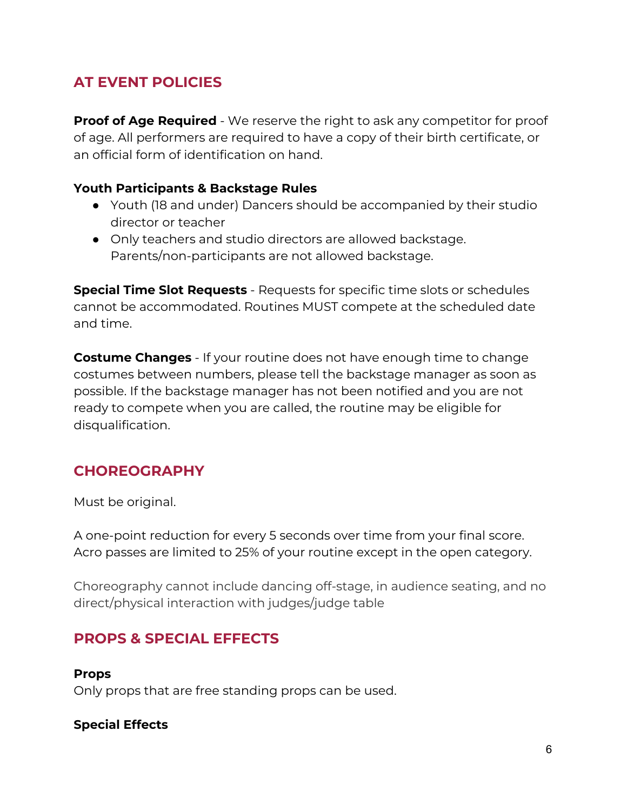# <span id="page-5-0"></span>**AT EVENT POLICIES**

**Proof of Age Required** - We reserve the right to ask any competitor for proof of age. All performers are required to have a copy of their birth certificate, or an official form of identification on hand.

#### **Youth Participants & Backstage Rules**

- Youth (18 and under) Dancers should be accompanied by their studio director or teacher
- Only teachers and studio directors are allowed backstage. Parents/non-participants are not allowed backstage.

**Special Time Slot Requests** - Requests for specific time slots or schedules cannot be accommodated. Routines MUST compete at the scheduled date and time.

**Costume Changes** - If your routine does not have enough time to change costumes between numbers, please tell the backstage manager as soon as possible. If the backstage manager has not been notified and you are not ready to compete when you are called, the routine may be eligible for disqualification.

# <span id="page-5-1"></span>**CHOREOGRAPHY**

Must be original.

A one-point reduction for every 5 seconds over time from your final score. Acro passes are limited to 25% of your routine except in the open category.

Choreography cannot include dancing off-stage, in audience seating, and no direct/physical interaction with judges/judge table

# <span id="page-5-2"></span>**PROPS & SPECIAL EFFECTS**

**Props** Only props that are free standing props can be used.

#### **Special Effects**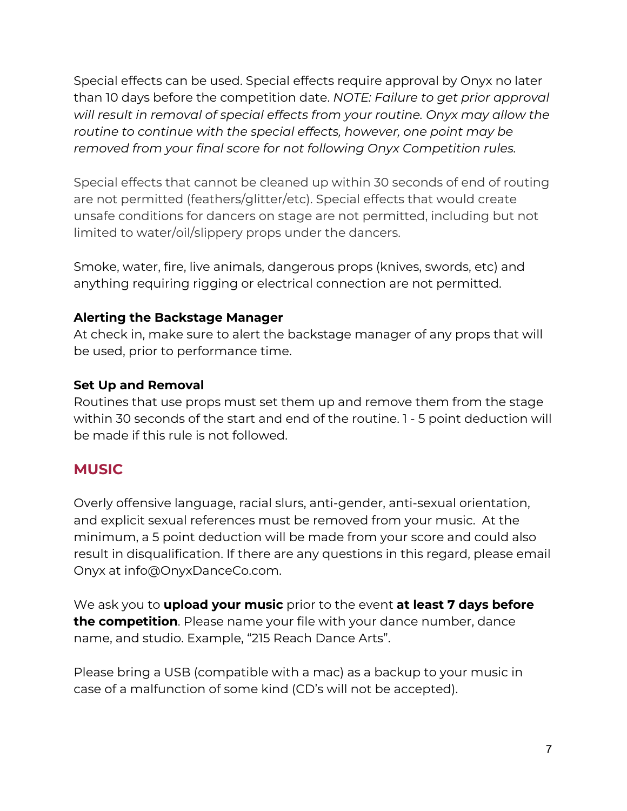Special effects can be used. Special effects require approval by Onyx no later than 10 days before the competition date. *NOTE: Failure to get prior approval will result in removal of special effects from your routine. Onyx may allow the routine to continue with the special effects, however, one point may be removed from your final score for not following Onyx Competition rules.*

Special effects that cannot be cleaned up within 30 seconds of end of routing are not permitted (feathers/glitter/etc). Special effects that would create unsafe conditions for dancers on stage are not permitted, including but not limited to water/oil/slippery props under the dancers.

Smoke, water, fire, live animals, dangerous props (knives, swords, etc) and anything requiring rigging or electrical connection are not permitted.

#### **Alerting the Backstage Manager**

At check in, make sure to alert the backstage manager of any props that will be used, prior to performance time.

#### **Set Up and Removal**

Routines that use props must set them up and remove them from the stage within 30 seconds of the start and end of the routine. 1 - 5 point deduction will be made if this rule is not followed.

# <span id="page-6-0"></span>**MUSIC**

Overly offensive language, racial slurs, anti-gender, anti-sexual orientation, and explicit sexual references must be removed from your music. At the minimum, a 5 point deduction will be made from your score and could also result in disqualification. If there are any questions in this regard, please email Onyx at info@OnyxDanceCo.com.

We ask you to **upload your music** prior to the event **at least 7 days before the competition**. Please name your file with your dance number, dance name, and studio. Example, "215 Reach Dance Arts".

Please bring a USB (compatible with a mac) as a backup to your music in case of a malfunction of some kind (CD's will not be accepted).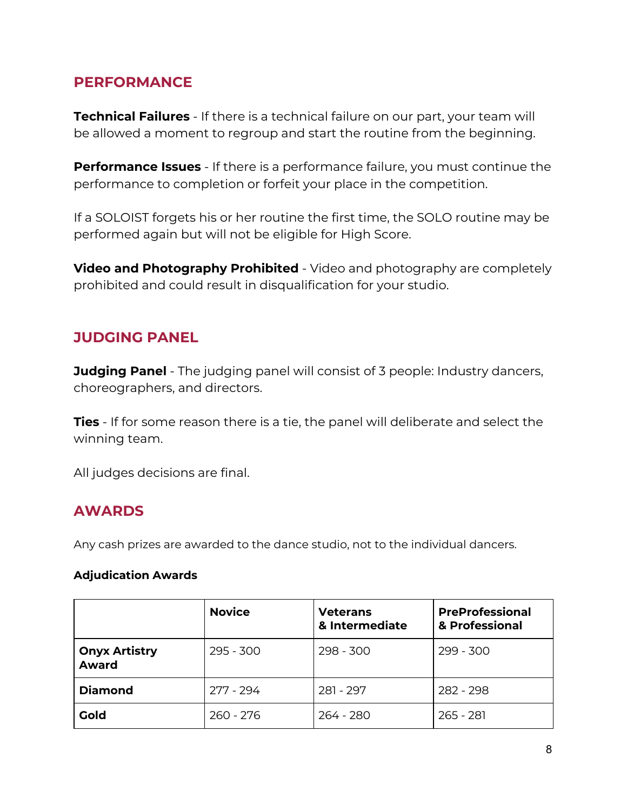### <span id="page-7-0"></span>**PERFORMANCE**

**Technical Failures** - If there is a technical failure on our part, your team will be allowed a moment to regroup and start the routine from the beginning.

**Performance Issues** - If there is a performance failure, you must continue the performance to completion or forfeit your place in the competition.

If a SOLOIST forgets his or her routine the first time, the SOLO routine may be performed again but will not be eligible for High Score.

**Video and Photography Prohibited** - Video and photography are completely prohibited and could result in disqualification for your studio.

# <span id="page-7-1"></span>**JUDGING PANEL**

**Judging Panel** - The judging panel will consist of 3 people: Industry dancers, choreographers, and directors.

**Ties** - If for some reason there is a tie, the panel will deliberate and select the winning team.

All judges decisions are final.

# <span id="page-7-2"></span>**AWARDS**

Any cash prizes are awarded to the dance studio, not to the individual dancers.

#### **Adjudication Awards**

|                                      | <b>Novice</b> | <b>Veterans</b><br>& Intermediate | <b>PreProfessional</b><br>& Professional |
|--------------------------------------|---------------|-----------------------------------|------------------------------------------|
| <b>Onyx Artistry</b><br><b>Award</b> | $295 - 300$   | $298 - 300$                       | $299 - 300$                              |
| <b>Diamond</b>                       | 277 - 294     | 281 - 297                         | 282 - 298                                |
| <b>Gold</b>                          | $260 - 276$   | 264 - 280                         | $265 - 281$                              |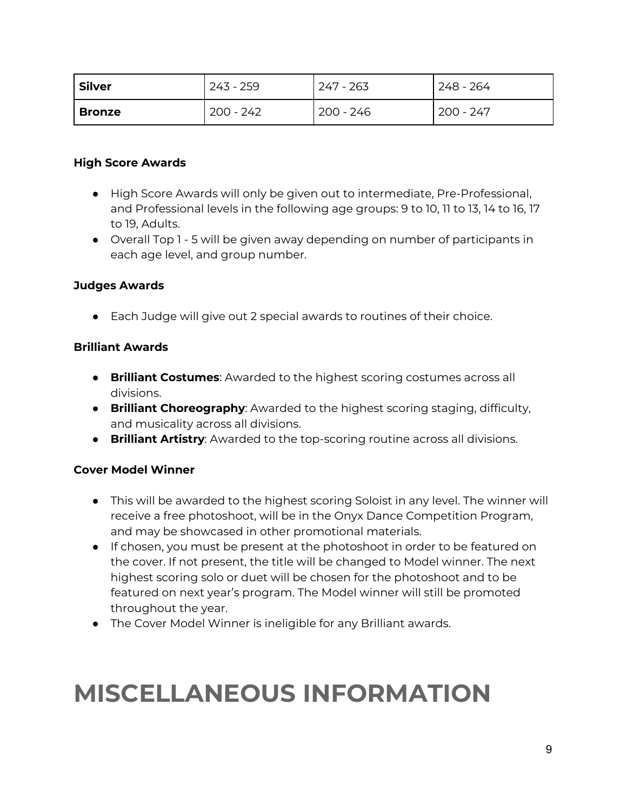| <b>Silver</b> | 243 - 259   | 247 - 263 | 248 - 264 |
|---------------|-------------|-----------|-----------|
| Bronze        | . 200 - 242 | 200 - 246 | 200 - 247 |

#### **High Score Awards**

- High Score Awards will only be given out to intermediate, Pre-Professional, and Professional levels in the following age groups: 9 to 10, 11 to 13, 14 to 16, 17 to 19, Adults.
- Overall Top 1 5 will be given away depending on number of participants in each age level, and group number.

#### **Judges Awards**

● Each Judge will give out 2 special awards to routines of their choice.

#### **Brilliant Awards**

- **Brilliant Costumes**: Awarded to the highest scoring costumes across all divisions.
- **Brilliant Choreography**: Awarded to the highest scoring staging, difficulty, and musicality across all divisions.
- **Brilliant Artistry**: Awarded to the top-scoring routine across all divisions.

#### **Cover Model Winner**

- This will be awarded to the highest scoring Soloist in any level. The winner will receive a free photoshoot, will be in the Onyx Dance Competition Program, and may be showcased in other promotional materials.
- If chosen, you must be present at the photoshoot in order to be featured on the cover. If not present, the title will be changed to Model winner. The next highest scoring solo or duet will be chosen for the photoshoot and to be featured on next year's program. The Model winner will still be promoted throughout the year.
- The Cover Model Winner is ineligible for any Brilliant awards.

# <span id="page-8-0"></span>**MISCELLANEOUS INFORMATION**